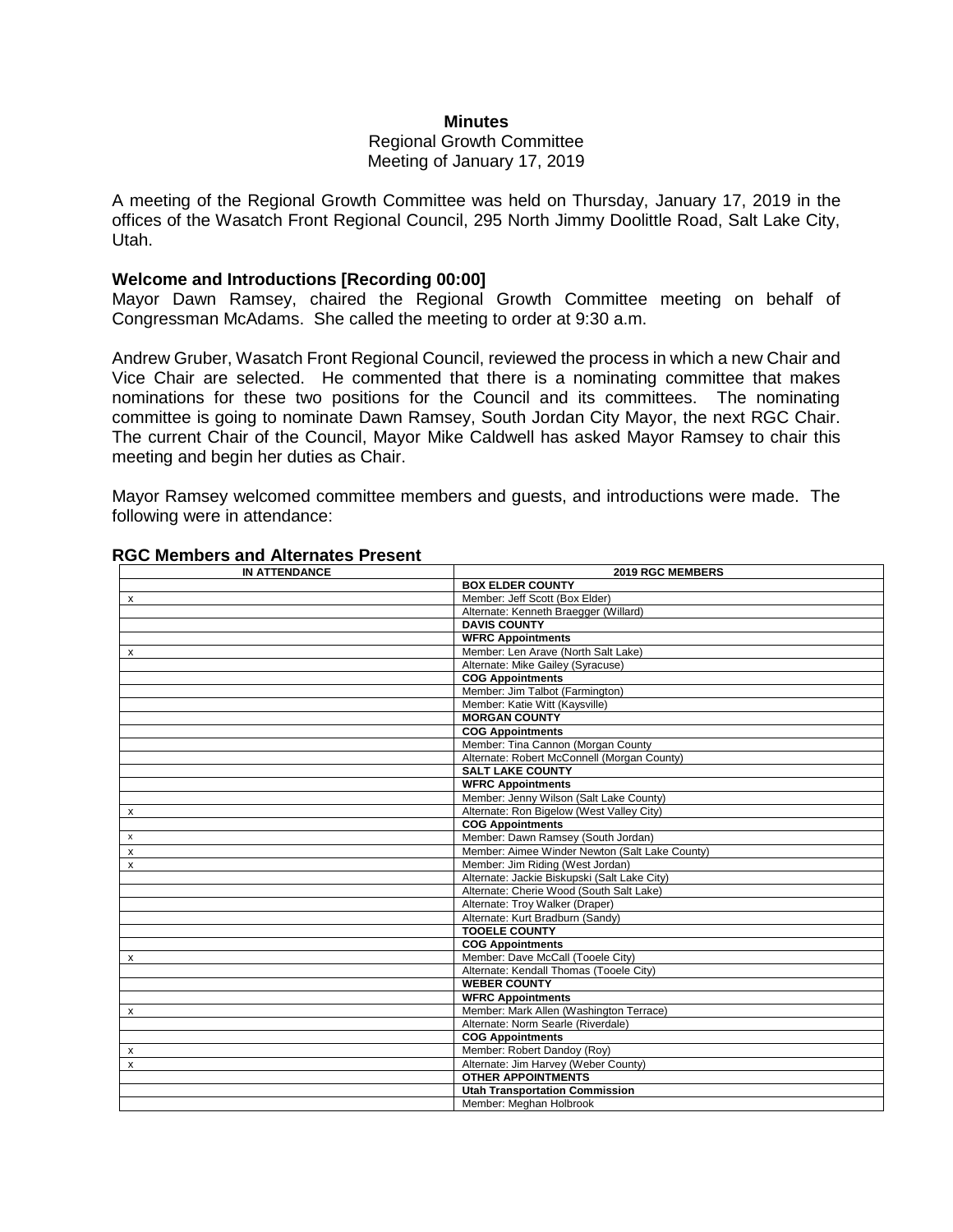#### **Minutes**

### Regional Growth Committee Meeting of January 17, 2019

A meeting of the Regional Growth Committee was held on Thursday, January 17, 2019 in the offices of the Wasatch Front Regional Council, 295 North Jimmy Doolittle Road, Salt Lake City, Utah.

### **Welcome and Introductions [Recording 00:00]**

Mayor Dawn Ramsey, chaired the Regional Growth Committee meeting on behalf of Congressman McAdams. She called the meeting to order at 9:30 a.m.

Andrew Gruber, Wasatch Front Regional Council, reviewed the process in which a new Chair and Vice Chair are selected. He commented that there is a nominating committee that makes nominations for these two positions for the Council and its committees. The nominating committee is going to nominate Dawn Ramsey, South Jordan City Mayor, the next RGC Chair. The current Chair of the Council, Mayor Mike Caldwell has asked Mayor Ramsey to chair this meeting and begin her duties as Chair.

Mayor Ramsey welcomed committee members and guests, and introductions were made. The following were in attendance:

| <b>IN ATTENDANCE</b>      | 2019 RGC MEMBERS                               |
|---------------------------|------------------------------------------------|
|                           | <b>BOX ELDER COUNTY</b>                        |
| x                         | Member: Jeff Scott (Box Elder)                 |
|                           | Alternate: Kenneth Braegger (Willard)          |
|                           | <b>DAVIS COUNTY</b>                            |
|                           | <b>WFRC Appointments</b>                       |
| x                         | Member: Len Arave (North Salt Lake)            |
|                           | Alternate: Mike Gailey (Syracuse)              |
|                           | <b>COG Appointments</b>                        |
|                           | Member: Jim Talbot (Farmington)                |
|                           | Member: Katie Witt (Kaysville)                 |
|                           | <b>MORGAN COUNTY</b>                           |
|                           | <b>COG Appointments</b>                        |
|                           | Member: Tina Cannon (Morgan County             |
|                           | Alternate: Robert McConnell (Morgan County)    |
|                           | <b>SALT LAKE COUNTY</b>                        |
|                           | <b>WFRC Appointments</b>                       |
|                           | Member: Jenny Wilson (Salt Lake County)        |
| х                         | Alternate: Ron Bigelow (West Valley City)      |
|                           | <b>COG Appointments</b>                        |
| $\boldsymbol{\mathsf{x}}$ | Member: Dawn Ramsey (South Jordan)             |
| $\boldsymbol{\mathsf{x}}$ | Member: Aimee Winder Newton (Salt Lake County) |
| $\boldsymbol{\mathsf{x}}$ | Member: Jim Riding (West Jordan)               |
|                           | Alternate: Jackie Biskupski (Salt Lake City)   |
|                           | Alternate: Cherie Wood (South Salt Lake)       |
|                           | Alternate: Troy Walker (Draper)                |
|                           | Alternate: Kurt Bradburn (Sandy)               |
|                           | <b>TOOELE COUNTY</b>                           |
|                           | <b>COG Appointments</b>                        |
| $\mathsf{x}$              | Member: Dave McCall (Tooele City)              |
|                           | Alternate: Kendall Thomas (Tooele City)        |
|                           | <b>WEBER COUNTY</b>                            |
|                           | <b>WFRC Appointments</b>                       |
| $\mathsf{x}$              | Member: Mark Allen (Washington Terrace)        |
|                           | Alternate: Norm Searle (Riverdale)             |
|                           | <b>COG Appointments</b>                        |
| x                         | Member: Robert Dandoy (Roy)                    |
| X                         | Alternate: Jim Harvey (Weber County)           |
|                           | <b>OTHER APPOINTMENTS</b>                      |
|                           | <b>Utah Transportation Commission</b>          |
|                           | Member: Meghan Holbrook                        |

### **RGC Members and Alternates Present**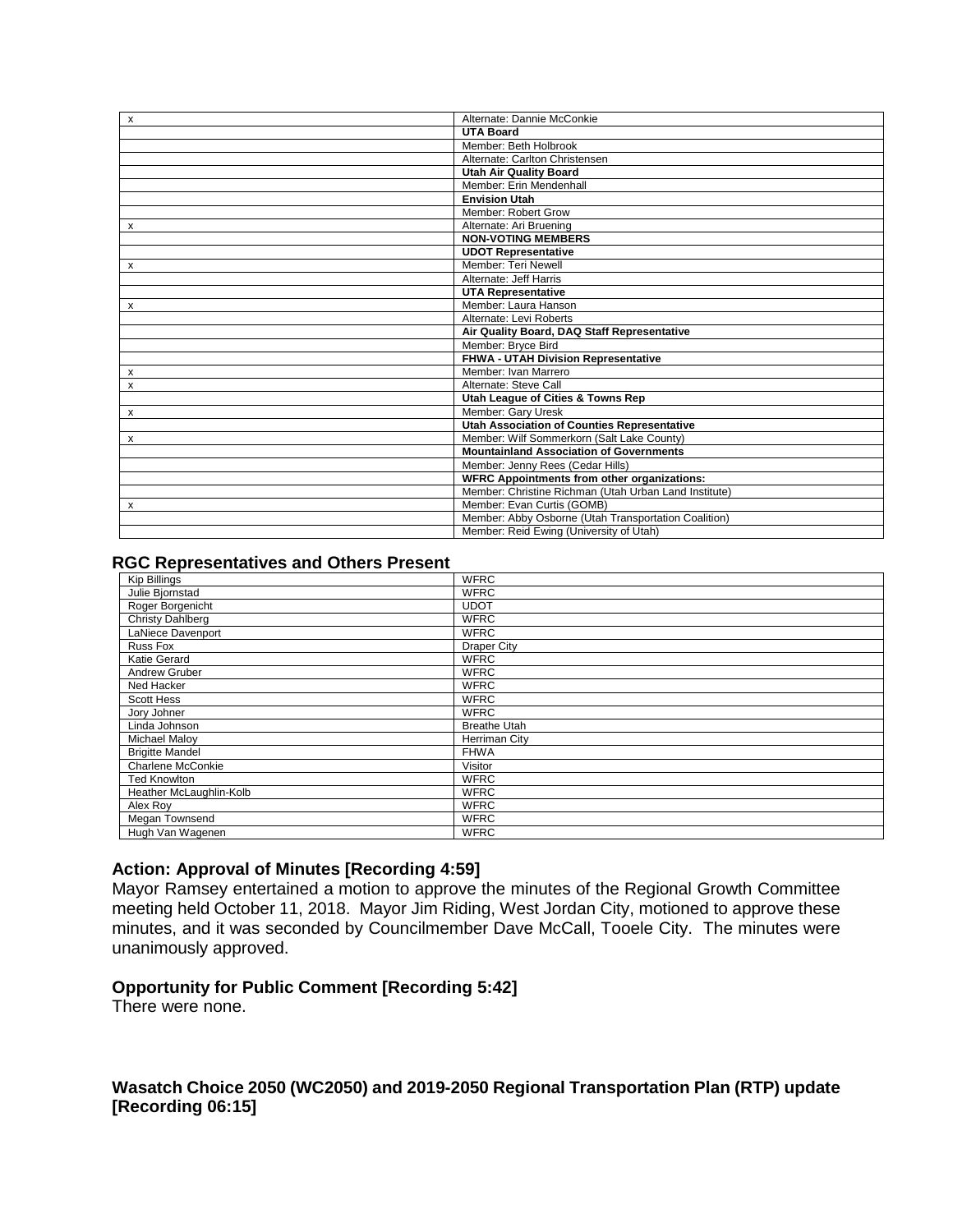| $\mathsf{x}$ | Alternate: Dannie McConkie                            |
|--------------|-------------------------------------------------------|
|              | <b>UTA Board</b>                                      |
|              | Member: Beth Holbrook                                 |
|              | Alternate: Carlton Christensen                        |
|              | <b>Utah Air Quality Board</b>                         |
|              | Member: Erin Mendenhall                               |
|              | <b>Envision Utah</b>                                  |
|              | Member: Robert Grow                                   |
| x            | Alternate: Ari Bruening                               |
|              | <b>NON-VOTING MEMBERS</b>                             |
|              | <b>UDOT Representative</b>                            |
| x            | Member: Teri Newell                                   |
|              | Alternate: Jeff Harris                                |
|              | <b>UTA Representative</b>                             |
| x            | Member: Laura Hanson                                  |
|              | Alternate: Levi Roberts                               |
|              | Air Quality Board, DAQ Staff Representative           |
|              | Member: Bryce Bird                                    |
|              | <b>FHWA - UTAH Division Representative</b>            |
| х            | Member: Ivan Marrero                                  |
| X            | Alternate: Steve Call                                 |
|              | Utah League of Cities & Towns Rep                     |
| x            | Member: Gary Uresk                                    |
|              | Utah Association of Counties Representative           |
| х            | Member: Wilf Sommerkorn (Salt Lake County)            |
|              | <b>Mountainland Association of Governments</b>        |
|              | Member: Jenny Rees (Cedar Hills)                      |
|              | <b>WFRC Appointments from other organizations:</b>    |
|              | Member: Christine Richman (Utah Urban Land Institute) |
| x            | Member: Evan Curtis (GOMB)                            |
|              | Member: Abby Osborne (Utah Transportation Coalition)  |
|              | Member: Reid Ewing (University of Utah)               |

#### **RGC Representatives and Others Present**

| <b>Kip Billings</b>     | <b>WFRC</b>         |
|-------------------------|---------------------|
| Julie Bjornstad         | <b>WFRC</b>         |
| Roger Borgenicht        | <b>UDOT</b>         |
| Christy Dahlberg        | <b>WFRC</b>         |
| LaNiece Davenport       | <b>WFRC</b>         |
| Russ Fox                | <b>Draper City</b>  |
| Katie Gerard            | <b>WFRC</b>         |
| Andrew Gruber           | <b>WFRC</b>         |
| Ned Hacker              | <b>WFRC</b>         |
| Scott Hess              | <b>WFRC</b>         |
| Jory Johner             | <b>WFRC</b>         |
| Linda Johnson           | <b>Breathe Utah</b> |
| <b>Michael Maloy</b>    | Herriman City       |
| <b>Brigitte Mandel</b>  | <b>FHWA</b>         |
| Charlene McConkie       | Visitor             |
| <b>Ted Knowlton</b>     | <b>WFRC</b>         |
| Heather McLaughlin-Kolb | <b>WFRC</b>         |
| Alex Roy                | <b>WFRC</b>         |
| Megan Townsend          | <b>WFRC</b>         |
| Hugh Van Wagenen        | <b>WFRC</b>         |

### **Action: Approval of Minutes [Recording 4:59]**

Mayor Ramsey entertained a motion to approve the minutes of the Regional Growth Committee meeting held October 11, 2018. Mayor Jim Riding, West Jordan City, motioned to approve these minutes, and it was seconded by Councilmember Dave McCall, Tooele City. The minutes were unanimously approved.

## **Opportunity for Public Comment [Recording 5:42]**

There were none.

**Wasatch Choice 2050 (WC2050) and 2019-2050 Regional Transportation Plan (RTP) update [Recording 06:15]**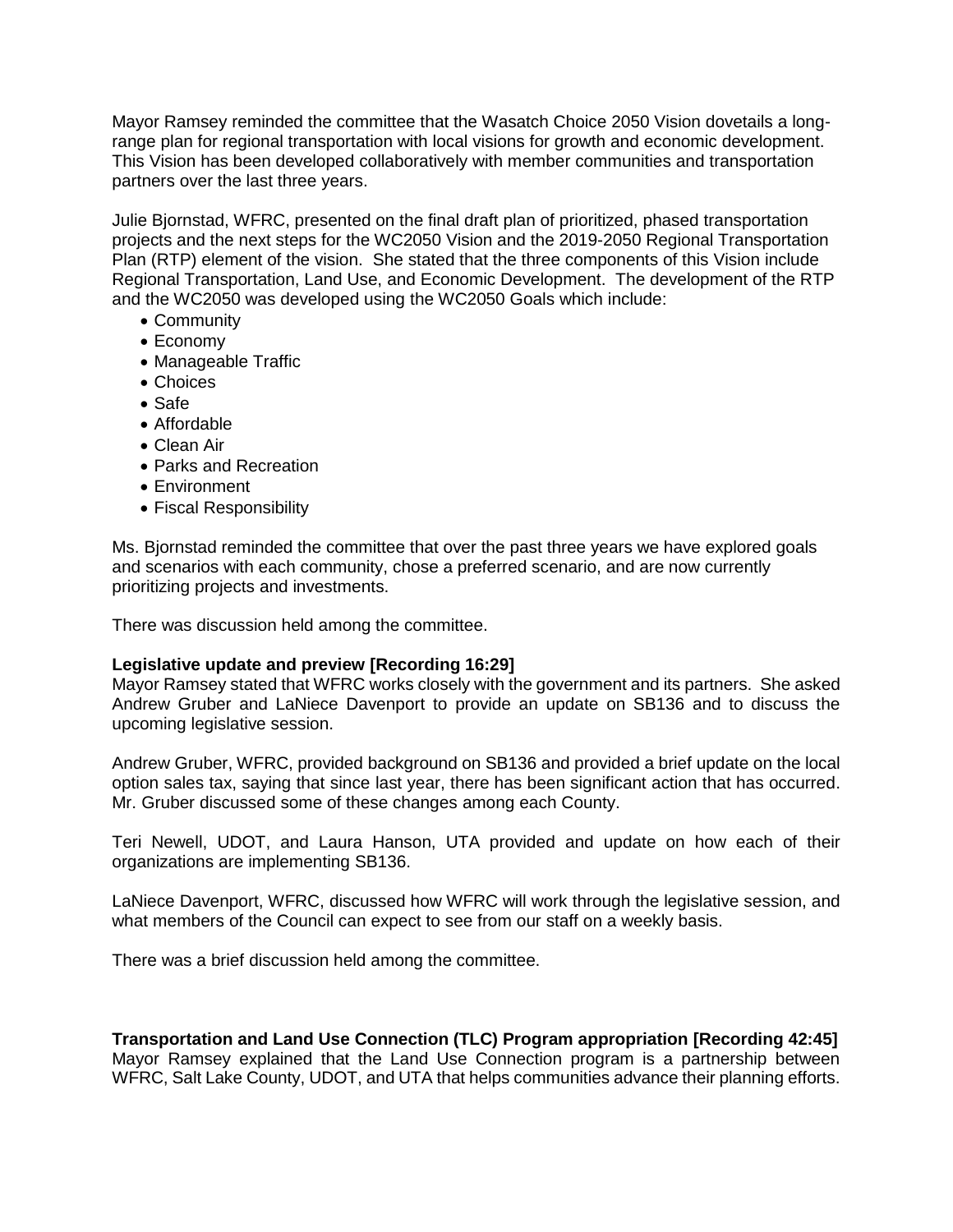Mayor Ramsey reminded the committee that the Wasatch Choice 2050 Vision dovetails a longrange plan for regional transportation with local visions for growth and economic development. This Vision has been developed collaboratively with member communities and transportation partners over the last three years.

Julie Bjornstad, WFRC, presented on the final draft plan of prioritized, phased transportation projects and the next steps for the WC2050 Vision and the 2019-2050 Regional Transportation Plan (RTP) element of the vision. She stated that the three components of this Vision include Regional Transportation, Land Use, and Economic Development. The development of the RTP and the WC2050 was developed using the WC2050 Goals which include:

- Community
- Economy
- Manageable Traffic
- Choices
- Safe
- Affordable
- Clean Air
- Parks and Recreation
- Environment
- Fiscal Responsibility

Ms. Bjornstad reminded the committee that over the past three years we have explored goals and scenarios with each community, chose a preferred scenario, and are now currently prioritizing projects and investments.

There was discussion held among the committee.

### **Legislative update and preview [Recording 16:29]**

Mayor Ramsey stated that WFRC works closely with the government and its partners. She asked Andrew Gruber and LaNiece Davenport to provide an update on SB136 and to discuss the upcoming legislative session.

Andrew Gruber, WFRC, provided background on SB136 and provided a brief update on the local option sales tax, saying that since last year, there has been significant action that has occurred. Mr. Gruber discussed some of these changes among each County.

Teri Newell, UDOT, and Laura Hanson, UTA provided and update on how each of their organizations are implementing SB136.

LaNiece Davenport, WFRC, discussed how WFRC will work through the legislative session, and what members of the Council can expect to see from our staff on a weekly basis.

There was a brief discussion held among the committee.

**Transportation and Land Use Connection (TLC) Program appropriation [Recording 42:45]** Mayor Ramsey explained that the Land Use Connection program is a partnership between WFRC, Salt Lake County, UDOT, and UTA that helps communities advance their planning efforts.